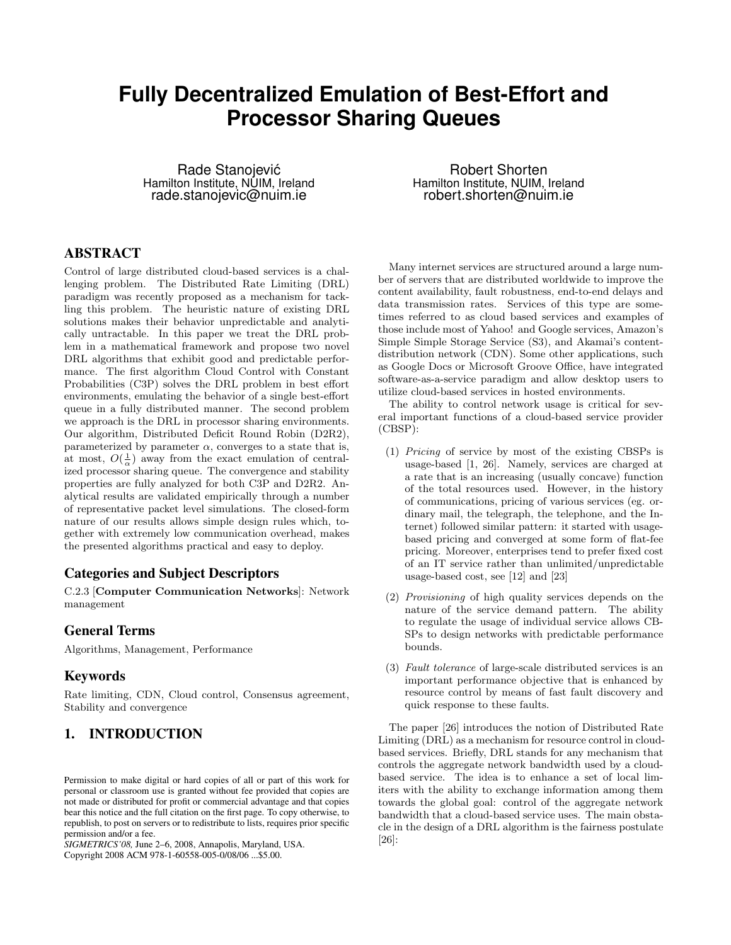# **Fully Decentralized Emulation of Best-Effort and Processor Sharing Queues**

Rade Stanojevic´ Hamilton Institute, NUIM, Ireland rade.stanojevic@nuim.ie

# **ABSTRACT**

Control of large distributed cloud-based services is a challenging problem. The Distributed Rate Limiting (DRL) paradigm was recently proposed as a mechanism for tackling this problem. The heuristic nature of existing DRL solutions makes their behavior unpredictable and analytically untractable. In this paper we treat the DRL problem in a mathematical framework and propose two novel DRL algorithms that exhibit good and predictable performance. The first algorithm Cloud Control with Constant Probabilities (C3P) solves the DRL problem in best effort environments, emulating the behavior of a single best-effort queue in a fully distributed manner. The second problem we approach is the DRL in processor sharing environments. Our algorithm, Distributed Deficit Round Robin (D2R2), parameterized by parameter  $\alpha$ , converges to a state that is, at most,  $O(\frac{1}{\alpha})$  away from the exact emulation of centralized processor sharing queue. The convergence and stability properties are fully analyzed for both C3P and D2R2. Analytical results are validated empirically through a number of representative packet level simulations. The closed-form nature of our results allows simple design rules which, together with extremely low communication overhead, makes the presented algorithms practical and easy to deploy.

## **Categories and Subject Descriptors**

C.2.3 [Computer Communication Networks]: Network management

## **General Terms**

Algorithms, Management, Performance

## **Keywords**

Rate limiting, CDN, Cloud control, Consensus agreement, Stability and convergence

## **1. INTRODUCTION**

Permission to make digital or hard copies of all or part of this work for personal or classroom use is granted without fee provided that copies are not made or distributed for profit or commercial advantage and that copies bear this notice and the full citation on the first page. To copy otherwise, to republish, to post on servers or to redistribute to lists, requires prior specific permission and/or a fee.

*SIGMETRICS'08,* June 2–6, 2008, Annapolis, Maryland, USA. Copyright 2008 ACM 978-1-60558-005-0/08/06 ...\$5.00.

Robert Shorten Hamilton Institute, NUIM, Ireland robert.shorten@nuim.ie

Many internet services are structured around a large number of servers that are distributed worldwide to improve the content availability, fault robustness, end-to-end delays and data transmission rates. Services of this type are sometimes referred to as cloud based services and examples of those include most of Yahoo! and Google services, Amazon's Simple Simple Storage Service (S3), and Akamai's contentdistribution network (CDN). Some other applications, such as Google Docs or Microsoft Groove Office, have integrated software-as-a-service paradigm and allow desktop users to utilize cloud-based services in hosted environments.

The ability to control network usage is critical for several important functions of a cloud-based service provider (CBSP):

- (1) Pricing of service by most of the existing CBSPs is usage-based [1, 26]. Namely, services are charged at a rate that is an increasing (usually concave) function of the total resources used. However, in the history of communications, pricing of various services (eg. ordinary mail, the telegraph, the telephone, and the Internet) followed similar pattern: it started with usagebased pricing and converged at some form of flat-fee pricing. Moreover, enterprises tend to prefer fixed cost of an IT service rather than unlimited/unpredictable usage-based cost, see [12] and [23]
- (2) Provisioning of high quality services depends on the nature of the service demand pattern. The ability to regulate the usage of individual service allows CB-SPs to design networks with predictable performance bounds.
- (3) Fault tolerance of large-scale distributed services is an important performance objective that is enhanced by resource control by means of fast fault discovery and quick response to these faults.

The paper [26] introduces the notion of Distributed Rate Limiting (DRL) as a mechanism for resource control in cloudbased services. Briefly, DRL stands for any mechanism that controls the aggregate network bandwidth used by a cloudbased service. The idea is to enhance a set of local limiters with the ability to exchange information among them towards the global goal: control of the aggregate network bandwidth that a cloud-based service uses. The main obstacle in the design of a DRL algorithm is the fairness postulate [26]: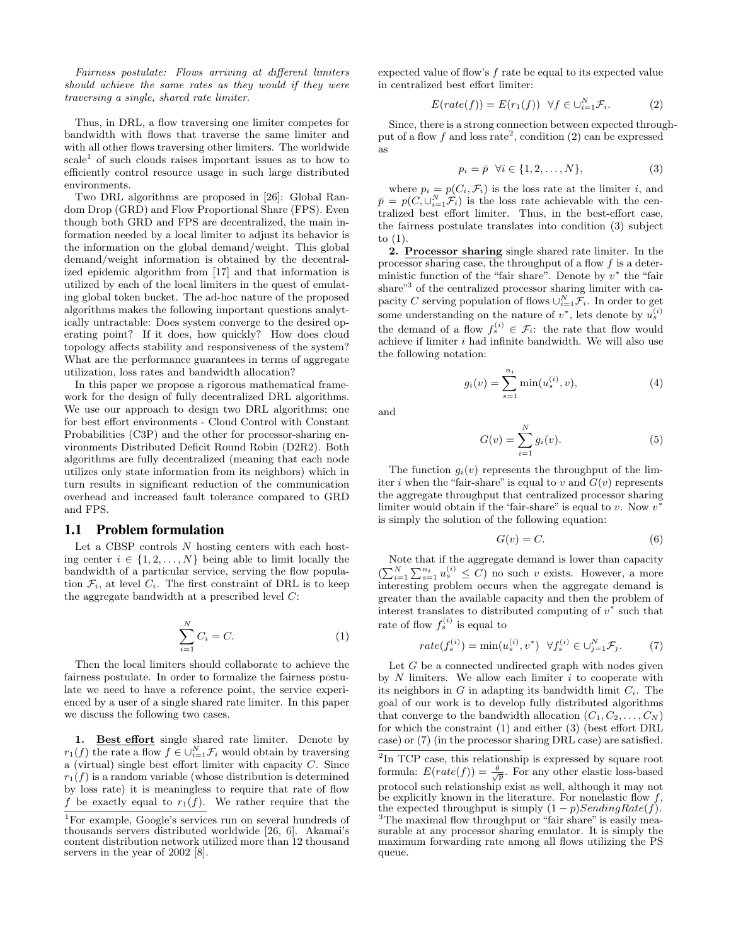Fairness postulate: Flows arriving at different limiters should achieve the same rates as they would if they were traversing a single, shared rate limiter.

Thus, in DRL, a flow traversing one limiter competes for bandwidth with flows that traverse the same limiter and with all other flows traversing other limiters. The worldwide scale<sup>1</sup> of such clouds raises important issues as to how to efficiently control resource usage in such large distributed environments.

Two DRL algorithms are proposed in [26]: Global Random Drop (GRD) and Flow Proportional Share (FPS). Even though both GRD and FPS are decentralized, the main information needed by a local limiter to adjust its behavior is the information on the global demand/weight. This global demand/weight information is obtained by the decentralized epidemic algorithm from [17] and that information is utilized by each of the local limiters in the quest of emulating global token bucket. The ad-hoc nature of the proposed algorithms makes the following important questions analytically untractable: Does system converge to the desired operating point? If it does, how quickly? How does cloud topology affects stability and responsiveness of the system? What are the performance guarantees in terms of aggregate utilization, loss rates and bandwidth allocation?

In this paper we propose a rigorous mathematical framework for the design of fully decentralized DRL algorithms. We use our approach to design two DRL algorithms; one for best effort environments - Cloud Control with Constant Probabilities (C3P) and the other for processor-sharing environments Distributed Deficit Round Robin (D2R2). Both algorithms are fully decentralized (meaning that each node utilizes only state information from its neighbors) which in turn results in significant reduction of the communication overhead and increased fault tolerance compared to GRD and FPS.

### **1.1 Problem formulation**

Let a CBSP controls N hosting centers with each hosting center  $i \in \{1, 2, ..., N\}$  being able to limit locally the bandwidth of a particular service, serving the flow population  $\mathcal{F}_i$ , at level  $C_i$ . The first constraint of DRL is to keep the aggregate bandwidth at a prescribed level C:

$$
\sum_{i=1}^{N} C_i = C.
$$
\n(1)

Then the local limiters should collaborate to achieve the fairness postulate. In order to formalize the fairness postulate we need to have a reference point, the service experienced by a user of a single shared rate limiter. In this paper we discuss the following two cases.

1. Best effort single shared rate limiter. Denote by  $r_1(f)$  the rate a flow  $f \in \bigcup_{i=1}^N \mathcal{F}_i$  would obtain by traversing a (virtual) single best effort limiter with capacity C. Since  $r_1(f)$  is a random variable (whose distribution is determined by loss rate) it is meaningless to require that rate of flow f be exactly equal to  $r_1(f)$ . We rather require that the expected value of flow's f rate be equal to its expected value in centralized best effort limiter:

$$
E(rate(f)) = E(r_1(f)) \quad \forall f \in \bigcup_{i=1}^{N} \mathcal{F}_i.
$$
 (2)

Since, there is a strong connection between expected throughput of a flow f and loss rate<sup>2</sup>, condition (2) can be expressed as

$$
p_i = \bar{p} \quad \forall i \in \{1, 2, \dots, N\},\tag{3}
$$

where  $p_i = p(C_i, \mathcal{F}_i)$  is the loss rate at the limiter i, and  $\bar{p} = p(C, \cup_{i=1}^{N} \mathcal{F}_i)$  is the loss rate achievable with the centralized best effort limiter. Thus, in the best-effort case, the fairness postulate translates into condition (3) subject to (1).

2. Processor sharing single shared rate limiter. In the processor sharing case, the throughput of a flow  $f$  is a deterministic function of the "fair share". Denote by  $v^*$  the "fair share"<sup>3</sup> of the centralized processor sharing limiter with capacity C serving population of flows  $\cup_{i=1}^N \mathcal{F}_i$ . In order to get some understanding on the nature of  $v^*$ , lets denote by  $u_s^{(i)}$ the demand of a flow  $f_s^{(i)} \in \mathcal{F}_i$ : the rate that flow would achieve if limiter  $i$  had infinite bandwidth. We will also use the following notation:

$$
g_i(v) = \sum_{s=1}^{n_i} \min(u_s^{(i)}, v),
$$
 (4)

and

queue.

$$
G(v) = \sum_{i=1}^{N} g_i(v).
$$
 (5)

The function  $q_i(v)$  represents the throughput of the limiter i when the "fair-share" is equal to v and  $G(v)$  represents the aggregate throughput that centralized processor sharing limiter would obtain if the 'fair-share" is equal to  $v$ . Now  $v^*$ is simply the solution of the following equation:

$$
G(v) = C.\t\t(6)
$$

Note that if the aggregate demand is lower than capacity  $\left(\sum_{i=1}^{N} \sum_{s=1}^{n_i} u_s^{(i)}\right) \leq C$  no such v exists. However, a more interesting problem occurs when the aggregate demand is greater than the available capacity and then the problem of interest translates to distributed computing of  $v^*$  such that rate of flow  $f_s^{(i)}$  is equal to

$$
rate(f_s^{(i)}) = min(u_s^{(i)}, v^*) \ \forall f_s^{(i)} \in \bigcup_{j=1}^N \mathcal{F}_j.
$$
 (7)

Let  $G$  be a connected undirected graph with nodes given by  $N$  limiters. We allow each limiter  $i$  to cooperate with its neighbors in  $G$  in adapting its bandwidth limit  $C_i$ . The goal of our work is to develop fully distributed algorithms that converge to the bandwidth allocation  $(C_1, C_2, \ldots, C_N)$ for which the constraint (1) and either (3) (best effort DRL case) or (7) (in the processor sharing DRL case) are satisfied.

<sup>1</sup>For example, Google's services run on several hundreds of thousands servers distributed worldwide [26, 6]. Akamai's content distribution network utilized more than 12 thousand servers in the year of 2002 [8].

<sup>&</sup>lt;sup>2</sup>In TCP case, this relationship is expressed by square root formula:  $E(rate(f)) = \frac{\theta}{\sqrt{p}}$ . For any other elastic loss-based protocol such relationship exist as well, although it may not be explicitly known in the literature. For nonelastic flow  $f$ , the expected throughput is simply  $(1-p)$ SendingRate(f). <sup>3</sup>The maximal flow throughput or "fair share" is easily measurable at any processor sharing emulator. It is simply the maximum forwarding rate among all flows utilizing the PS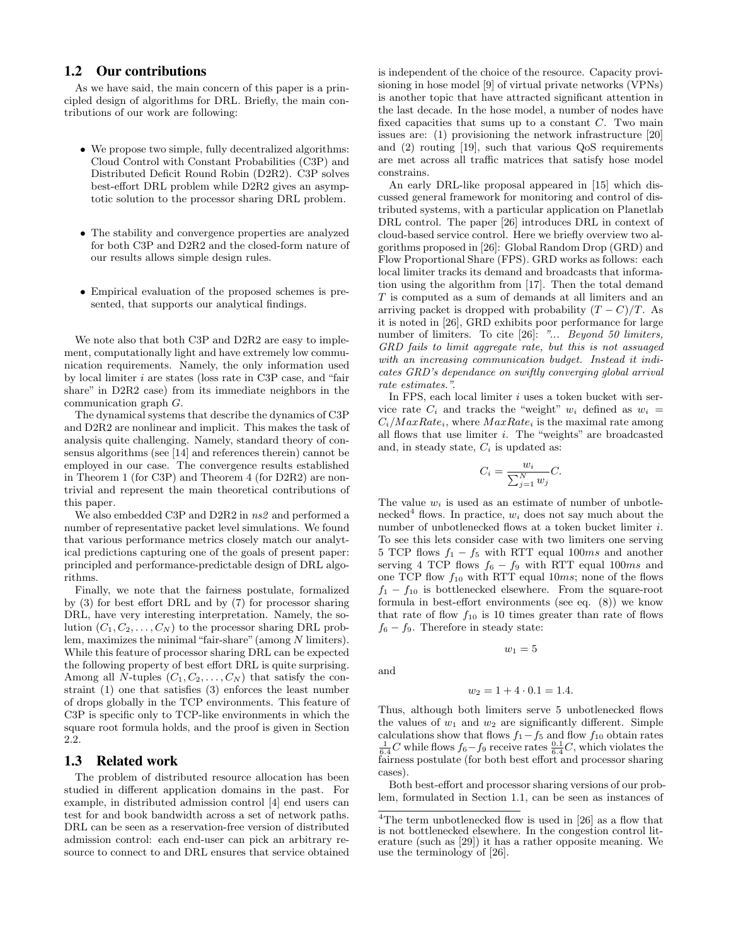## **1.2 Our contributions**

As we have said, the main concern of this paper is a principled design of algorithms for DRL. Briefly, the main contributions of our work are following:

- We propose two simple, fully decentralized algorithms: Cloud Control with Constant Probabilities (C3P) and Distributed Deficit Round Robin (D2R2). C3P solves best-effort DRL problem while D2R2 gives an asymptotic solution to the processor sharing DRL problem.
- The stability and convergence properties are analyzed for both C3P and D2R2 and the closed-form nature of our results allows simple design rules.
- Empirical evaluation of the proposed schemes is presented, that supports our analytical findings.

We note also that both C3P and D2R2 are easy to implement, computationally light and have extremely low communication requirements. Namely, the only information used by local limiter i are states (loss rate in C3P case, and "fair share" in D2R2 case) from its immediate neighbors in the communication graph G.

The dynamical systems that describe the dynamics of C3P and D2R2 are nonlinear and implicit. This makes the task of analysis quite challenging. Namely, standard theory of consensus algorithms (see [14] and references therein) cannot be employed in our case. The convergence results established in Theorem 1 (for C3P) and Theorem 4 (for D2R2) are nontrivial and represent the main theoretical contributions of this paper.

We also embedded C3P and D2R2 in ns2 and performed a number of representative packet level simulations. We found that various performance metrics closely match our analytical predictions capturing one of the goals of present paper: principled and performance-predictable design of DRL algorithms.

Finally, we note that the fairness postulate, formalized by (3) for best effort DRL and by (7) for processor sharing DRL, have very interesting interpretation. Namely, the solution  $(C_1, C_2, \ldots, C_N)$  to the processor sharing DRL problem, maximizes the minimal"fair-share"(among N limiters). While this feature of processor sharing DRL can be expected the following property of best effort DRL is quite surprising. Among all N-tuples  $(C_1, C_2, \ldots, C_N)$  that satisfy the constraint (1) one that satisfies (3) enforces the least number of drops globally in the TCP environments. This feature of C3P is specific only to TCP-like environments in which the square root formula holds, and the proof is given in Section 2.2.

## **1.3 Related work**

The problem of distributed resource allocation has been studied in different application domains in the past. For example, in distributed admission control [4] end users can test for and book bandwidth across a set of network paths. DRL can be seen as a reservation-free version of distributed admission control: each end-user can pick an arbitrary resource to connect to and DRL ensures that service obtained is independent of the choice of the resource. Capacity provisioning in hose model [9] of virtual private networks (VPNs) is another topic that have attracted significant attention in the last decade. In the hose model, a number of nodes have fixed capacities that sums up to a constant  $C$ . Two main issues are: (1) provisioning the network infrastructure [20] and (2) routing [19], such that various QoS requirements are met across all traffic matrices that satisfy hose model constrains.

An early DRL-like proposal appeared in [15] which discussed general framework for monitoring and control of distributed systems, with a particular application on Planetlab DRL control. The paper [26] introduces DRL in context of cloud-based service control. Here we briefly overview two algorithms proposed in [26]: Global Random Drop (GRD) and Flow Proportional Share (FPS). GRD works as follows: each local limiter tracks its demand and broadcasts that information using the algorithm from [17]. Then the total demand T is computed as a sum of demands at all limiters and an arriving packet is dropped with probability  $(T - C)/T$ . As it is noted in [26], GRD exhibits poor performance for large number of limiters. To cite [26]: "... Beyond 50 limiters, GRD fails to limit aggregate rate, but this is not assuaged with an increasing communication budget. Instead it indicates GRD's dependance on swiftly converging global arrival rate estimates.".

In FPS, each local limiter  $i$  uses a token bucket with service rate  $C_i$  and tracks the "weight"  $w_i$  defined as  $w_i =$  $C_i/MaxRate_i$ , where  $MaxRate_i$  is the maximal rate among all flows that use limiter i. The "weights" are broadcasted and, in steady state,  $C_i$  is updated as:

$$
C_i = \frac{w_i}{\sum_{j=1}^N w_j} C.
$$

The value  $w_i$  is used as an estimate of number of unbotlenecked<sup>4</sup> flows. In practice,  $w_i$  does not say much about the number of unbotlenecked flows at a token bucket limiter i. To see this lets consider case with two limiters one serving 5 TCP flows  $f_1 - f_5$  with RTT equal 100ms and another serving 4 TCP flows  $f_6 - f_9$  with RTT equal 100ms and one TCP flow  $f_{10}$  with RTT equal 10ms; none of the flows  $f_1 - f_{10}$  is bottlenecked elsewhere. From the square-root formula in best-effort environments (see eq. (8)) we know that rate of flow  $f_{10}$  is 10 times greater than rate of flows  $f_6 - f_9$ . Therefore in steady state:

and

$$
w_2 = 1 + 4 \cdot 0.1 = 1.4.
$$

 $w_1 = 5$ 

Thus, although both limiters serve 5 unbotlenecked flows the values of  $w_1$  and  $w_2$  are significantly different. Simple calculations show that flows  $f_1-f_5$  and flow  $f_{10}$  obtain rates  $\frac{1}{6.4}C$  while flows  $f_6-f_9$  receive rates  $\frac{0.1}{6.4}C$ , which violates the fairness postulate (for both best effort and processor sharing cases).

Both best-effort and processor sharing versions of our problem, formulated in Section 1.1, can be seen as instances of

 ${}^{4}{\rm The\ term}$  unbotlenecked flow is used in [26] as a flow that is not bottlenecked elsewhere. In the congestion control literature (such as [29]) it has a rather opposite meaning. We use the terminology of [26].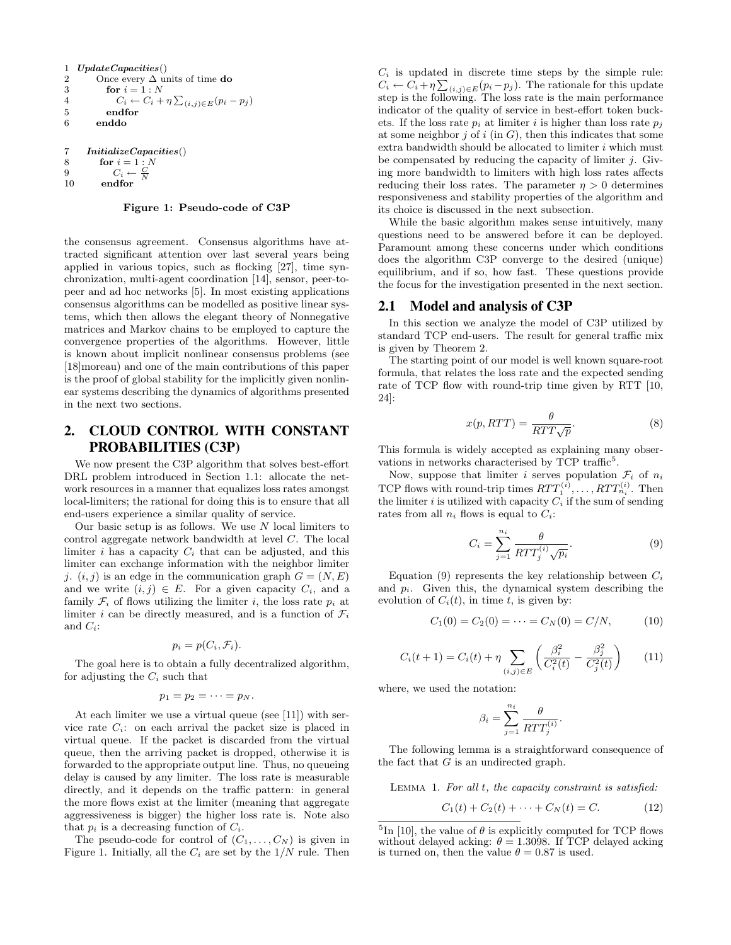```
1 UpdateCapacities()<br>2 Once every \Delta un
         Once every \Delta units of time {\bf do}3 for i = 1 : N<br>4 C_i \leftarrow C_i +4 C_i \leftarrow C_i + \eta \sum_{(i,j) \in E} (p_i - p_j)5 endfor
         enddo
7 InitializeCapacities()
```
8 for  $i = 1:N$ 9  $C_i \leftarrow \frac{C}{N}$ 10 endfor

Figure 1: Pseudo-code of C3P

the consensus agreement. Consensus algorithms have attracted significant attention over last several years being applied in various topics, such as flocking [27], time synchronization, multi-agent coordination [14], sensor, peer-topeer and ad hoc networks [5]. In most existing applications consensus algorithms can be modelled as positive linear systems, which then allows the elegant theory of Nonnegative matrices and Markov chains to be employed to capture the convergence properties of the algorithms. However, little is known about implicit nonlinear consensus problems (see [18]moreau) and one of the main contributions of this paper is the proof of global stability for the implicitly given nonlinear systems describing the dynamics of algorithms presented in the next two sections.

# **2. CLOUD CONTROL WITH CONSTANT PROBABILITIES (C3P)**

We now present the C3P algorithm that solves best-effort DRL problem introduced in Section 1.1: allocate the network resources in a manner that equalizes loss rates amongst local-limiters; the rational for doing this is to ensure that all end-users experience a similar quality of service.

Our basic setup is as follows. We use  $N$  local limiters to control aggregate network bandwidth at level C. The local limiter i has a capacity  $C_i$  that can be adjusted, and this limiter can exchange information with the neighbor limiter *j.*  $(i, j)$  is an edge in the communication graph  $G = (N, E)$ and we write  $(i, j) \in E$ . For a given capacity  $C_i$ , and a family  $\mathcal{F}_i$  of flows utilizing the limiter i, the loss rate  $p_i$  at limiter i can be directly measured, and is a function of  $\mathcal{F}_i$ and  $C_i$ :

$$
p_i = p(C_i, \mathcal{F}_i).
$$

The goal here is to obtain a fully decentralized algorithm, for adjusting the  $C_i$  such that

$$
p_1=p_2=\cdots=p_N.
$$

At each limiter we use a virtual queue (see [11]) with service rate  $C_i$ : on each arrival the packet size is placed in virtual queue. If the packet is discarded from the virtual queue, then the arriving packet is dropped, otherwise it is forwarded to the appropriate output line. Thus, no queueing delay is caused by any limiter. The loss rate is measurable directly, and it depends on the traffic pattern: in general the more flows exist at the limiter (meaning that aggregate aggressiveness is bigger) the higher loss rate is. Note also that  $p_i$  is a decreasing function of  $C_i$ .

The pseudo-code for control of  $(C_1, \ldots, C_N)$  is given in Figure 1. Initially, all the  $C_i$  are set by the  $1/N$  rule. Then

 $C_i$  is updated in discrete time steps by the simple rule:  $C_i \leftarrow C_i + \eta \sum_{(i,j) \in E} (p_i - p_j)$ . The rationale for this update step is the following. The loss rate is the main performance indicator of the quality of service in best-effort token buckets. If the loss rate  $p_i$  at limiter i is higher than loss rate  $p_j$ at some neighbor  $j$  of  $i$  (in  $G$ ), then this indicates that some extra bandwidth should be allocated to limiter  $i$  which must be compensated by reducing the capacity of limiter  $j$ . Giving more bandwidth to limiters with high loss rates affects reducing their loss rates. The parameter  $\eta > 0$  determines responsiveness and stability properties of the algorithm and its choice is discussed in the next subsection.

While the basic algorithm makes sense intuitively, many questions need to be answered before it can be deployed. Paramount among these concerns under which conditions does the algorithm C3P converge to the desired (unique) equilibrium, and if so, how fast. These questions provide the focus for the investigation presented in the next section.

#### **2.1 Model and analysis of C3P**

In this section we analyze the model of C3P utilized by standard TCP end-users. The result for general traffic mix is given by Theorem 2.

The starting point of our model is well known square-root formula, that relates the loss rate and the expected sending rate of TCP flow with round-trip time given by RTT [10, 24]:

$$
x(p, RTT) = \frac{\theta}{RTT\sqrt{p}}.\tag{8}
$$

This formula is widely accepted as explaining many observations in networks characterised by TCP traffic<sup>5</sup>.

Now, suppose that limiter i serves population  $\mathcal{F}_i$  of  $n_i$ TCP flows with round-trip times  $RTT_1^{(i)}, \ldots, RTT_{n_i}^{(i)}$ . Then the limiter i is utilized with capacity  $C_i$  if the sum of sending rates from all  $n_i$  flows is equal to  $C_i$ :

$$
C_i = \sum_{j=1}^{n_i} \frac{\theta}{RTT_j^{(i)}\sqrt{p_i}}.\tag{9}
$$

Equation (9) represents the key relationship between  $C_i$ and  $p_i$ . Given this, the dynamical system describing the evolution of  $C_i(t)$ , in time t, is given by:

$$
C_1(0) = C_2(0) = \dots = C_N(0) = C/N, \tag{10}
$$

$$
C_i(t+1) = C_i(t) + \eta \sum_{(i,j)\in E} \left( \frac{\beta_i^2}{C_i^2(t)} - \frac{\beta_j^2}{C_j^2(t)} \right) \tag{11}
$$

where, we used the notation:

$$
\beta_i = \sum_{j=1}^{n_i} \frac{\theta}{RTT_j^{(i)}}
$$

The following lemma is a straightforward consequence of the fact that  $G$  is an undirected graph.

Lemma 1. For all t, the capacity constraint is satisfied:

$$
C_1(t) + C_2(t) + \dots + C_N(t) = C.
$$
 (12)

.

<sup>&</sup>lt;sup>5</sup>In [10], the value of  $\theta$  is explicitly computed for TCP flows without delayed acking:  $\theta = 1.3098$ . If TCP delayed acking is turned on, then the value  $\theta = 0.87$  is used.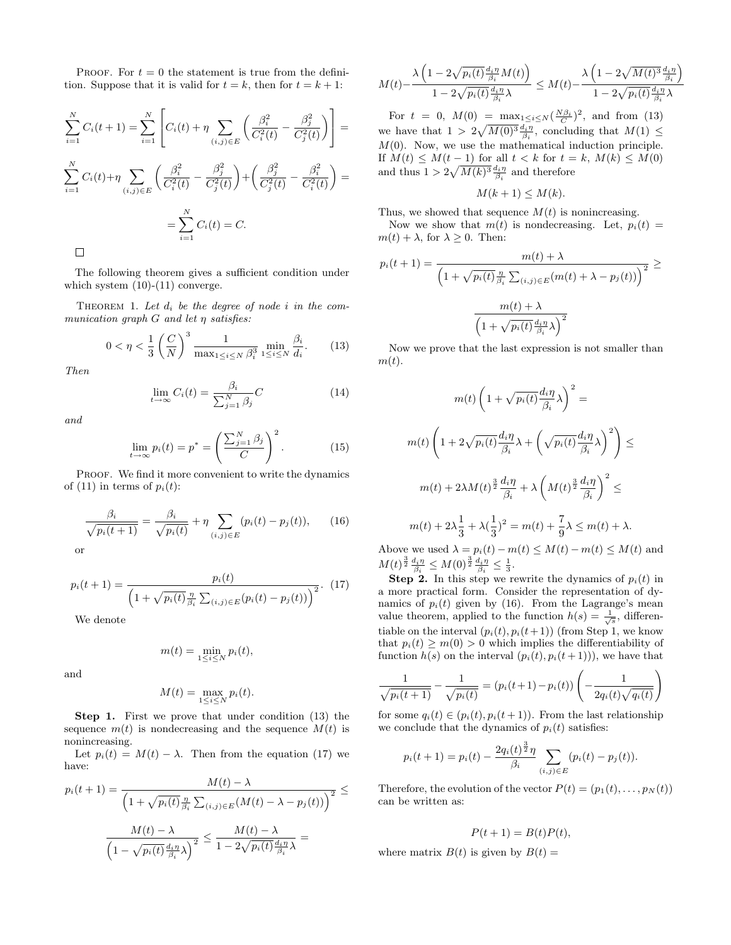PROOF. For  $t = 0$  the statement is true from the definition. Suppose that it is valid for  $t = k$ , then for  $t = k + 1$ :

$$
\sum_{i=1}^{N} C_i(t+1) = \sum_{i=1}^{N} \left[ C_i(t) + \eta \sum_{(i,j) \in E} \left( \frac{\beta_i^2}{C_i^2(t)} - \frac{\beta_j^2}{C_j^2(t)} \right) \right] =
$$
\n
$$
\sum_{i=1}^{N} C_i(t) + \eta \sum_{(i,j) \in E} \left( \frac{\beta_i^2}{C_i^2(t)} - \frac{\beta_j^2}{C_j^2(t)} \right) + \left( \frac{\beta_j^2}{C_j^2(t)} - \frac{\beta_i^2}{C_i^2(t)} \right) =
$$
\n
$$
= \sum_{i=1}^{N} C_i(t) = C.
$$

The following theorem gives a sufficient condition under which system  $(10)-(11)$  converge.

THEOREM 1. Let  $d_i$  be the degree of node i in the communication graph  $G$  and let  $\eta$  satisfies:

$$
0 < \eta < \frac{1}{3} \left( \frac{C}{N} \right)^3 \frac{1}{\max_{1 \le i \le N} \beta_i^3} \min_{1 \le i \le N} \frac{\beta_i}{d_i}.\tag{13}
$$

Then

$$
\lim_{t \to \infty} C_i(t) = \frac{\beta_i}{\sum_{j=1}^N \beta_j} C \tag{14}
$$

and

$$
\lim_{t \to \infty} p_i(t) = p^* = \left(\frac{\sum_{j=1}^N \beta_j}{C}\right)^2.
$$
 (15)

PROOF. We find it more convenient to write the dynamics of (11) in terms of  $p_i(t)$ :

$$
\frac{\beta_i}{\sqrt{p_i(t+1)}} = \frac{\beta_i}{\sqrt{p_i(t)}} + \eta \sum_{(i,j) \in E} (p_i(t) - p_j(t)), \qquad (16)
$$

or

$$
p_i(t+1) = \frac{p_i(t)}{\left(1 + \sqrt{p_i(t)}\frac{\eta}{\beta_i} \sum_{(i,j)\in E} (p_i(t) - p_j(t))\right)^2}.
$$
 (17)

We denote

$$
m(t) = \min_{1 \le i \le N} p_i(t),
$$

and

$$
M(t) = \max_{1 \le i \le N} p_i(t).
$$

Step 1. First we prove that under condition (13) the sequence  $m(t)$  is nondecreasing and the sequence  $M(t)$  is nonincreasing.

Let  $p_i(t) = M(t) - \lambda$ . Then from the equation (17) we have:

$$
p_i(t+1) = \frac{M(t) - \lambda}{\left(1 + \sqrt{p_i(t)} \frac{\eta}{\beta_i} \sum_{(i,j) \in E} (M(t) - \lambda - p_j(t))\right)^2} \le \frac{M(t) - \lambda}{\left(1 - \sqrt{p_i(t)} \frac{d_i \eta}{\beta_i} \lambda\right)^2} \le \frac{M(t) - \lambda}{1 - 2\sqrt{p_i(t)} \frac{d_i \eta}{\beta_i} \lambda} =
$$

$$
M(t) - \frac{\lambda \left(1 - 2\sqrt{p_i(t)} \frac{d_i \eta}{\beta_i} M(t)\right)}{1 - 2\sqrt{p_i(t)} \frac{d_i \eta}{\beta_i} \lambda} \le M(t) - \frac{\lambda \left(1 - 2\sqrt{M(t)^3} \frac{d_i \eta}{\beta_i}\right)}{1 - 2\sqrt{p_i(t)} \frac{d_i \eta}{\beta_i} \lambda}
$$

For  $t = 0$ ,  $M(0) = \max_{1 \le i \le N} (\frac{N\beta_i}{C})^2$ , and from (13) we have that  $1 > 2\sqrt{M(0)^3} \frac{d_i \eta}{\beta_i}$ , concluding that  $M(1) \leq$  $M(0)$ . Now, we use the mathematical induction principle. If  $M(t) \leq M(t-1)$  for all  $t < k$  for  $t = k$ ,  $M(k) \leq M(0)$ and thus  $1 > 2\sqrt{M(k)^3} \frac{d_i \eta}{\beta_i}$  and therefore

$$
M(k+1) \le M(k).
$$

Thus, we showed that sequence  $M(t)$  is nonincreasing.

Now we show that  $m(t)$  is nondecreasing. Let,  $p_i(t)$  =  $m(t) + \lambda$ , for  $\lambda \geq 0$ . Then:

$$
p_i(t+1) = \frac{m(t) + \lambda}{\left(1 + \sqrt{p_i(t)} \frac{\eta}{\beta_i} \sum_{(i,j) \in E} (m(t) + \lambda - p_j(t))\right)^2} \ge \frac{m(t) + \lambda}{\left(1 + \sqrt{p_i(t)} \frac{d_i \eta}{\beta_i} \lambda\right)^2}
$$

Now we prove that the last expression is not smaller than  $m(t)$ .

$$
m(t)\left(1+\sqrt{p_i(t)}\frac{d_i\eta}{\beta_i}\lambda\right)^2 =
$$
  

$$
m(t)\left(1+2\sqrt{p_i(t)}\frac{d_i\eta}{\beta_i}\lambda+\left(\sqrt{p_i(t)}\frac{d_i\eta}{\beta_i}\lambda\right)^2\right) \le
$$
  

$$
m(t)+2\lambda M(t)^{\frac{3}{2}}\frac{d_i\eta}{\beta_i}+\lambda\left(M(t)^{\frac{3}{2}}\frac{d_i\eta}{\beta_i}\right)^2 \le
$$
  

$$
m(t)+2\lambda\frac{1}{3}+\lambda(\frac{1}{3})^2=m(t)+\frac{7}{9}\lambda\le m(t)+\lambda.
$$

Above we used  $\lambda = p_i(t) - m(t) \leq M(t) - m(t) \leq M(t)$  and  $M(t)^{\frac{3}{2}} \frac{d_i \eta}{\beta_i} \leq M(0)^{\frac{3}{2}} \frac{d_i \eta}{\beta_i} \leq \frac{1}{3}.$ 

**Step 2.** In this step we rewrite the dynamics of  $p_i(t)$  in a more practical form. Consider the representation of dynamics of  $p_i(t)$  given by (16). From the Lagrange's mean value theorem, applied to the function  $h(s) = \frac{1}{\sqrt{s}}$ , differentiable on the interval  $(p_i(t), p_i(t+1))$  (from Step 1, we know that  $p_i(t) \geq m(0) > 0$  which implies the differentiability of function  $h(s)$  on the interval  $(p_i(t), p_i(t+1))$ , we have that

$$
\frac{1}{\sqrt{p_i(t+1)}} - \frac{1}{\sqrt{p_i(t)}} = (p_i(t+1) - p_i(t)) \left( -\frac{1}{2q_i(t)\sqrt{q_i(t)}} \right)
$$

for some  $q_i(t) \in (p_i(t), p_i(t+1))$ . From the last relationship we conclude that the dynamics of  $p_i(t)$  satisfies:

$$
p_i(t+1) = p_i(t) - \frac{2q_i(t)^{\frac{3}{2}}\eta}{\beta_i} \sum_{(i,j) \in E} (p_i(t) - p_j(t)).
$$

Therefore, the evolution of the vector  $P(t) = (p_1(t), \ldots, p_N(t))$ can be written as:

$$
P(t+1) = B(t)P(t),
$$

where matrix  $B(t)$  is given by  $B(t) =$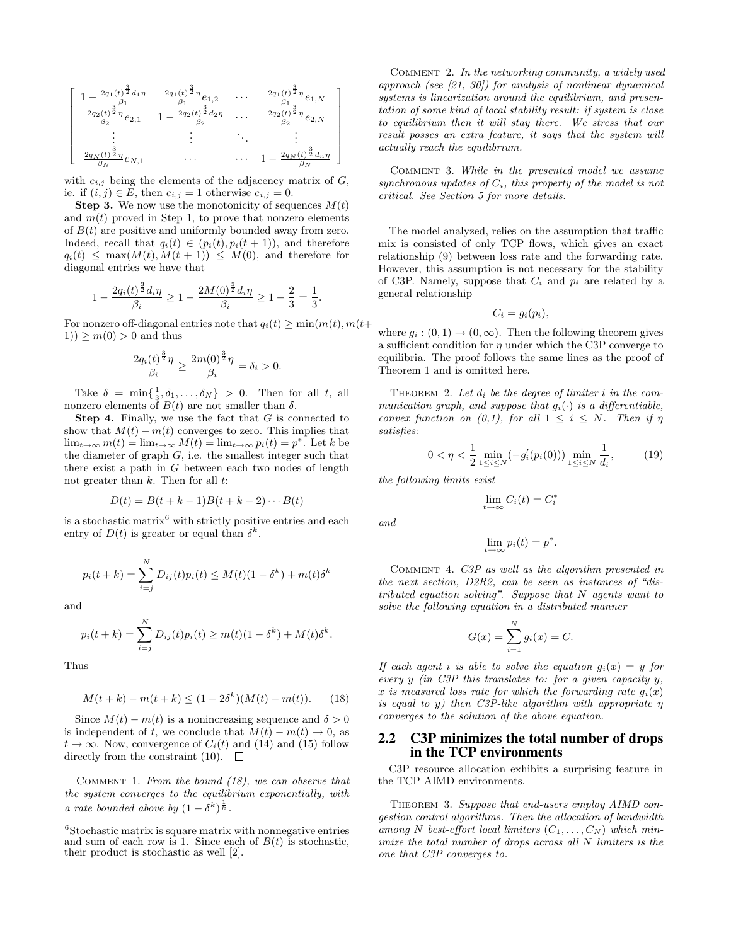$$
\left[ \begin{array}{cccc} 1-\frac{2q_1(t)^{\frac{3}{2}}d_1\eta}{\beta_1} & \frac{2q_1(t)^{\frac{3}{2}}\eta}{\beta_1}e_{1,2} & \cdots & \frac{2q_1(t)^{\frac{3}{2}}\eta}{\beta_1}e_{1,N} \\ \frac{2q_2(t)^{\frac{3}{2}}\eta}{\beta_2}e_{2,1} & 1-\frac{2q_2(t)^{\frac{3}{2}}d_2\eta}{\beta_2} & \cdots & \frac{2q_2(t)^{\frac{3}{2}}\eta}{\beta_2}e_{2,N} \\ \vdots & \vdots & \ddots & \vdots \\ \frac{2q_N(t)^{\frac{3}{2}}\eta}{\beta_N}e_{N,1} & \cdots & \cdots & 1-\frac{2q_N(t)^{\frac{3}{2}}d_n\eta}{\beta_N} \end{array} \right]
$$

with  $e_{i,j}$  being the elements of the adjacency matrix of  $G$ , ie. if  $(i, j) \in E$ , then  $e_{i,j} = 1$  otherwise  $e_{i,j} = 0$ .

**Step 3.** We now use the monotonicity of sequences  $M(t)$ and  $m(t)$  proved in Step 1, to prove that nonzero elements of  $B(t)$  are positive and uniformly bounded away from zero. Indeed, recall that  $q_i(t) \in (p_i(t), p_i(t+1))$ , and therefore  $q_i(t) \leq \max(M(t), M(t+1)) \leq M(0)$ , and therefore for diagonal entries we have that

$$
1 - \frac{2q_i(t)^{\frac{3}{2}}d_i\eta}{\beta_i} \ge 1 - \frac{2M(0)^{\frac{3}{2}}d_i\eta}{\beta_i} \ge 1 - \frac{2}{3} = \frac{1}{3}.
$$

For nonzero off-diagonal entries note that  $q_i(t) \geq \min(m(t), m(t+$ 1))  $\geq m(0) > 0$  and thus

$$
\frac{2q_i(t)^{\frac{3}{2}}\eta}{\beta_i}\geq \frac{2m(0)^{\frac{3}{2}}\eta}{\beta_i}=\delta_i>0.
$$

Take  $\delta = \min\{\frac{1}{3}, \delta_1, \ldots, \delta_N\} > 0$ . Then for all t, all nonzero elements of  $B(t)$  are not smaller than δ.

**Step 4.** Finally, we use the fact that  $G$  is connected to show that  $M(t) - m(t)$  converges to zero. This implies that  $\lim_{t\to\infty} m(t) = \lim_{t\to\infty} M(t) = \lim_{t\to\infty} p_i(t) = p^*$ . Let k be the diameter of graph  $G$ , i.e. the smallest integer such that there exist a path in G between each two nodes of length not greater than  $k$ . Then for all  $t$ :

$$
D(t) = B(t + k - 1)B(t + k - 2) \cdots B(t)
$$

is a stochastic matrix<sup>6</sup> with strictly positive entries and each entry of  $D(t)$  is greater or equal than  $\delta^k$ .

$$
p_i(t + k) = \sum_{i=j}^{N} D_{ij}(t) p_i(t) \le M(t) (1 - \delta^k) + m(t) \delta^k
$$

and

$$
p_i(t + k) = \sum_{i=j}^{N} D_{ij}(t) p_i(t) \ge m(t) (1 - \delta^k) + M(t) \delta^k.
$$

Thus

$$
M(t+k) - m(t+k) \le (1 - 2\delta^k)(M(t) - m(t)).
$$
 (18)

Since  $M(t) - m(t)$  is a nonincreasing sequence and  $\delta > 0$ is independent of t, we conclude that  $M(t) - m(t) \rightarrow 0$ , as  $t \to \infty$ . Now, convergence of  $C_i(t)$  and (14) and (15) follow directly from the constraint (10).  $\Box$ 

Comment 1. From the bound (18), we can observe that the system converges to the equilibrium exponentially, with a rate bounded above by  $(1 - \delta^k)^{\frac{1}{k}}$ .

Comment 2. In the networking community, a widely used approach (see [21, 30]) for analysis of nonlinear dynamical systems is linearization around the equilibrium, and presentation of some kind of local stability result: if system is close to equilibrium then it will stay there. We stress that our result posses an extra feature, it says that the system will actually reach the equilibrium.

Comment 3. While in the presented model we assume synchronous updates of  $C_i$ , this property of the model is not critical. See Section 5 for more details.

The model analyzed, relies on the assumption that traffic mix is consisted of only TCP flows, which gives an exact relationship (9) between loss rate and the forwarding rate. However, this assumption is not necessary for the stability of C3P. Namely, suppose that  $C_i$  and  $p_i$  are related by a general relationship

$$
C_i = g_i(p_i),
$$

where  $g_i : (0,1) \to (0,\infty)$ . Then the following theorem gives a sufficient condition for  $\eta$  under which the C3P converge to equilibria. The proof follows the same lines as the proof of Theorem 1 and is omitted here.

THEOREM 2. Let  $d_i$  be the degree of limiter i in the communication graph, and suppose that  $g_i(\cdot)$  is a differentiable, convex function on  $(0,1)$ , for all  $1 \leq i \leq N$ . Then if  $\eta$ satisfies:

$$
0 < \eta < \frac{1}{2} \min_{1 \le i \le N} \left( -g_i'(p_i(0)) \right) \min_{1 \le i \le N} \frac{1}{d_i},\tag{19}
$$

the following limits exist

and

$$
\lim_{t \to \infty} C_i(t) = C_i^*
$$

$$
\lim_{t \to \infty} p_i(t) = p^*.
$$

Comment 4. C3P as well as the algorithm presented in the next section, D2R2, can be seen as instances of "distributed equation solving". Suppose that N agents want to solve the following equation in a distributed manner

$$
G(x) = \sum_{i=1}^{N} g_i(x) = C.
$$

If each agent i is able to solve the equation  $g_i(x) = y$  for every y (in C3P this translates to: for a given capacity y, x is measured loss rate for which the forwarding rate  $g_i(x)$ is equal to y) then C3P-like algorithm with appropriate  $\eta$ converges to the solution of the above equation.

## **2.2 C3P minimizes the total number of drops in the TCP environments**

C3P resource allocation exhibits a surprising feature in the TCP AIMD environments.

THEOREM 3. Suppose that end-users employ AIMD congestion control algorithms. Then the allocation of bandwidth among N best-effort local limiters  $(C_1, \ldots, C_N)$  which minimize the total number of drops across all N limiters is the one that C3P converges to.

 $6$ Stochastic matrix is square matrix with nonnegative entries and sum of each row is 1. Since each of  $B(t)$  is stochastic, their product is stochastic as well [2].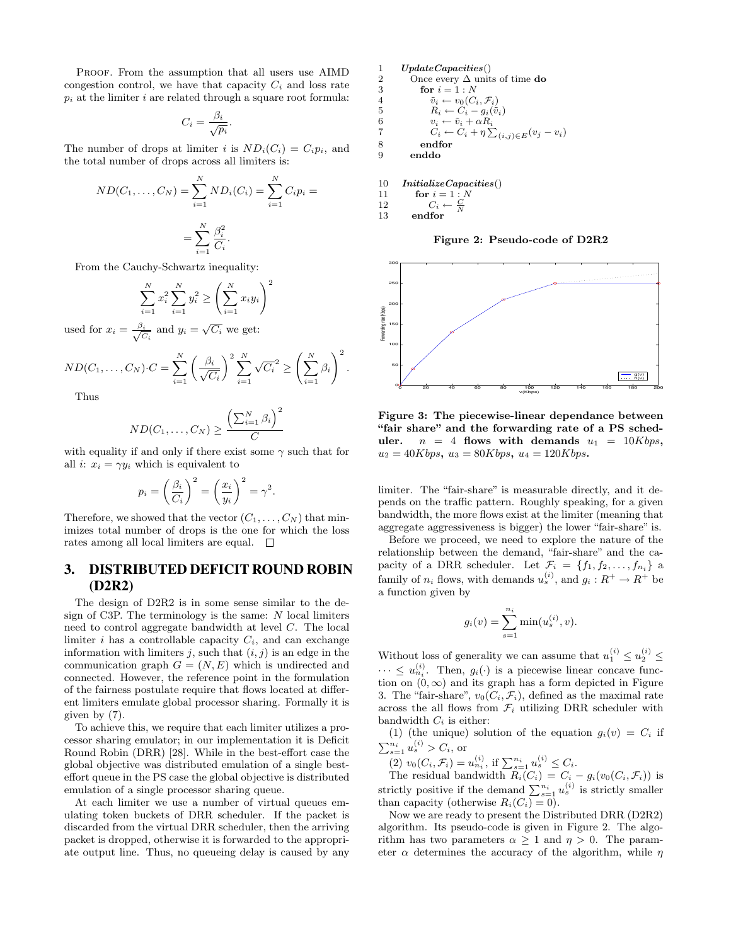PROOF. From the assumption that all users use AIMD congestion control, we have that capacity  $C_i$  and loss rate  $p_i$  at the limiter i are related through a square root formula:

$$
C_i = \frac{\beta_i}{\sqrt{p_i}}.
$$

The number of drops at limiter i is  $ND_i(C_i) = C_i p_i$ , and the total number of drops across all limiters is:

$$
ND(C_1, ..., C_N) = \sum_{i=1}^{N} ND_i(C_i) = \sum_{i=1}^{N} C_i p_i =
$$
  
= 
$$
\sum_{i=1}^{N} \frac{\beta_i^2}{C_i}.
$$

From the Cauchy-Schwartz inequality:

$$
\sum_{i=1}^{N} x_i^2 \sum_{i=1}^{N} y_i^2 \ge \left(\sum_{i=1}^{N} x_i y_i\right)^2
$$
  

$$
\beta_i
$$
 and 
$$
\widehat{G}
$$

used for  $x_i = \frac{\beta_i}{\sqrt{\zeta}}$  $\frac{\partial i}{C_i}$  and  $y_i = \sqrt{C_i}$  we get:

$$
ND(C_1, \ldots, C_N) \cdot C = \sum_{i=1}^N \left(\frac{\beta_i}{\sqrt{C_i}}\right)^2 \sum_{i=1}^N \sqrt{C_i}^2 \ge \left(\sum_{i=1}^N \beta_i\right)^2.
$$

Thus

$$
ND(C_1, \ldots, C_N) \ge \frac{\left(\sum_{i=1}^N \beta_i\right)^2}{C}
$$

with equality if and only if there exist some  $\gamma$  such that for all *i*:  $x_i = \gamma y_i$  which is equivalent to

$$
p_i = \left(\frac{\beta_i}{C_i}\right)^2 = \left(\frac{x_i}{y_i}\right)^2 = \gamma^2.
$$

Therefore, we showed that the vector  $(C_1, \ldots, C_N)$  that minimizes total number of drops is the one for which the loss rates among all local limiters are equal.  $\square$ 

# **3. DISTRIBUTED DEFICIT ROUND ROBIN (D2R2)**

The design of D2R2 is in some sense similar to the design of C3P. The terminology is the same:  $N$  local limiters need to control aggregate bandwidth at level C. The local limiter i has a controllable capacity  $C_i$ , and can exchange information with limiters j, such that  $(i, j)$  is an edge in the communication graph  $G = (N, E)$  which is undirected and connected. However, the reference point in the formulation of the fairness postulate require that flows located at different limiters emulate global processor sharing. Formally it is given by (7).

To achieve this, we require that each limiter utilizes a processor sharing emulator; in our implementation it is Deficit Round Robin (DRR) [28]. While in the best-effort case the global objective was distributed emulation of a single besteffort queue in the PS case the global objective is distributed emulation of a single processor sharing queue.

At each limiter we use a number of virtual queues emulating token buckets of DRR scheduler. If the packet is discarded from the virtual DRR scheduler, then the arriving packet is dropped, otherwise it is forwarded to the appropriate output line. Thus, no queueing delay is caused by any

| 1 | $UpdateCapacities()$                                       |
|---|------------------------------------------------------------|
| 2 | Once every $\Delta$ units of time do                       |
| 3 | for $i = 1 : N$                                            |
| 4 | $\tilde{v}_i \leftarrow v_0(C_i, \mathcal{F}_i)$           |
| 5 | $R_i \leftarrow C_i - g_i(\tilde{v}_i)$                    |
| 6 | $v_i \leftarrow \tilde{v}_i + \alpha R_i$                  |
| 7 | $C_i \leftarrow C_i + \eta \sum_{(i,j) \in E} (v_j - v_i)$ |
| 8 | endfor                                                     |

9 enddo

10 *InitializeCapacities*()<br>11 **for**  $i = 1:N$ 

11 **for**  $i = 1 : N$ 12  $C_i \leftarrow \frac{C}{N}$ 

13 endfor

Figure 2: Pseudo-code of D2R2



Figure 3: The piecewise-linear dependance between "fair share" and the forwarding rate of a PS scheduler.  $n = 4$  flows with demands  $u_1 = 10Kbps$ ,  $u_2 = 40Kbps$ ,  $u_3 = 80Kbps$ ,  $u_4 = 120Kbps$ .

limiter. The "fair-share" is measurable directly, and it depends on the traffic pattern. Roughly speaking, for a given bandwidth, the more flows exist at the limiter (meaning that aggregate aggressiveness is bigger) the lower "fair-share" is.

Before we proceed, we need to explore the nature of the relationship between the demand, "fair-share" and the capacity of a DRR scheduler. Let  $\mathcal{F}_i = \{f_1, f_2, \ldots, f_{n_i}\}\$ a family of  $n_i$  flows, with demands  $u_s^{(i)}$ , and  $g_i: R^+ \to R^+$  be a function given by

$$
g_i(v) = \sum_{s=1}^{n_i} \min(u_s^{(i)}, v).
$$

Without loss of generality we can assume that  $u_1^{(i)} \leq u_2^{(i)} \leq$  $\cdots \leq u_{n_i}^{(i)}$ . Then,  $g_i(\cdot)$  is a piecewise linear concave function on  $(0, \infty)$  and its graph has a form depicted in Figure 3. The "fair-share",  $v_0(C_i, \mathcal{F}_i)$ , defined as the maximal rate across the all flows from  $\mathcal{F}_i$  utilizing DRR scheduler with bandwidth  $C_i$  is either:

(1) (the unique) solution of the equation  $g_i(v) = C_i$  if  $\sum_{s=1}^{n_i} u_s^{(i)} > C_i$ , or

 $(2) \ v_0(C_i, \mathcal{F}_i) = u_{n_i}^{(i)}, \text{ if } \sum_{s=1}^{n_i} u_s^{(i)} \leq C_i.$ 

The residual bandwidth  $R_i(C_i) = C_i - g_i(v_0(C_i, \mathcal{F}_i))$  is strictly positive if the demand  $\sum_{s=1}^{n_i} u_s^{(i)}$  is strictly smaller than capacity (otherwise  $R_i(C_i) = 0$ ).

Now we are ready to present the Distributed DRR (D2R2) algorithm. Its pseudo-code is given in Figure 2. The algorithm has two parameters  $\alpha \geq 1$  and  $\eta > 0$ . The parameter  $\alpha$  determines the accuracy of the algorithm, while  $\eta$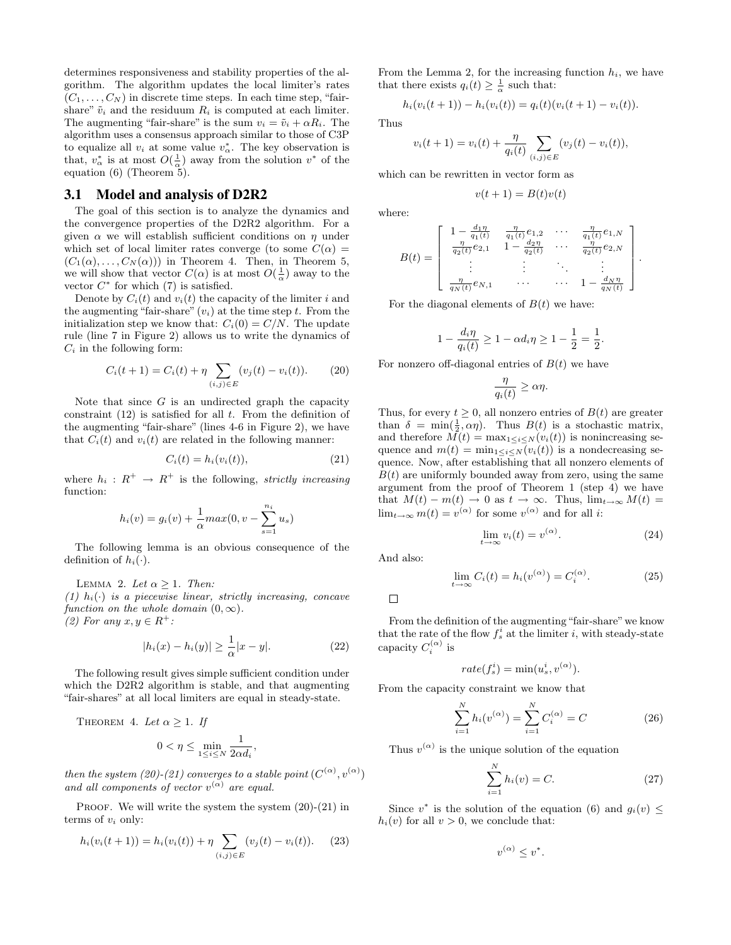determines responsiveness and stability properties of the algorithm. The algorithm updates the local limiter's rates  $(C_1, \ldots, C_N)$  in discrete time steps. In each time step, "fairshare"  $\tilde{v}_i$  and the residuum  $R_i$  is computed at each limiter. The augmenting "fair-share" is the sum  $v_i = \tilde{v}_i + \alpha R_i$ . The algorithm uses a consensus approach similar to those of C3P to equalize all  $v_i$  at some value  $v^*_{\alpha}$ . The key observation is that,  $v^*_{\alpha}$  is at most  $O(\frac{1}{\alpha})$  away from the solution  $v^*$  of the equation (6) (Theorem 5).

## **3.1 Model and analysis of D2R2**

The goal of this section is to analyze the dynamics and the convergence properties of the D2R2 algorithm. For a given  $\alpha$  we will establish sufficient conditions on  $\eta$  under which set of local limiter rates converge (to some  $C(\alpha)$ )  $(C_1(\alpha), \ldots, C_N(\alpha))$  in Theorem 4. Then, in Theorem 5, we will show that vector  $C(\alpha)$  is at most  $O(\frac{1}{\alpha})$  away to the vector  $C^*$  for which  $(7)$  is satisfied.

Denote by  $C_i(t)$  and  $v_i(t)$  the capacity of the limiter i and the augmenting "fair-share"  $(v_i)$  at the time step t. From the initialization step we know that:  $C_i(0) = C/N$ . The update rule (line 7 in Figure 2) allows us to write the dynamics of  $C_i$  in the following form:

$$
C_i(t+1) = C_i(t) + \eta \sum_{(i,j) \in E} (v_j(t) - v_i(t)).
$$
 (20)

Note that since  $G$  is an undirected graph the capacity constraint  $(12)$  is satisfied for all t. From the definition of the augmenting "fair-share" (lines 4-6 in Figure 2), we have that  $C_i(t)$  and  $v_i(t)$  are related in the following manner:

$$
C_i(t) = h_i(v_i(t)), \qquad (21)
$$

where  $h_i: R^+ \to R^+$  is the following, *strictly increasing* function:

$$
h_i(v) = g_i(v) + \frac{1}{\alpha} max(0, v - \sum_{s=1}^{n_i} u_s)
$$

The following lemma is an obvious consequence of the definition of  $h_i(\cdot)$ .

LEMMA 2. Let  $\alpha \geq 1$ . Then:

(1)  $h_i(\cdot)$  is a piecewise linear, strictly increasing, concave function on the whole domain  $(0, \infty)$ . (2) For any  $x, y \in R^+$ :

$$
|h_i(x) - h_i(y)| \ge \frac{1}{\alpha}|x - y|.
$$
 (22)

The following result gives simple sufficient condition under which the D2R2 algorithm is stable, and that augmenting "fair-shares" at all local limiters are equal in steady-state.

THEOREM 4. Let  $\alpha \geq 1$ . If

$$
0 < \eta \le \min_{1 \le i \le N} \frac{1}{2\alpha d_i},
$$

then the system (20)-(21) converges to a stable point  $(C^{(\alpha)}, v^{(\alpha)})$ and all components of vector  $v^{(\alpha)}$  are equal.

PROOF. We will write the system the system  $(20)-(21)$  in terms of  $v_i$  only:

$$
h_i(v_i(t+1)) = h_i(v_i(t)) + \eta \sum_{(i,j) \in E} (v_j(t) - v_i(t)).
$$
 (23)

From the Lemma 2, for the increasing function  $h_i$ , we have that there exists  $q_i(t) \geq \frac{1}{\alpha}$  such that:

$$
h_i(v_i(t+1)) - h_i(v_i(t)) = q_i(t)(v_i(t+1) - v_i(t)).
$$

Thus

$$
v_i(t+1) = v_i(t) + \frac{\eta}{q_i(t)} \sum_{(i,j) \in E} (v_j(t) - v_i(t)),
$$

which can be rewritten in vector form as

$$
v(t+1) = B(t)v(t)
$$

where:

$$
B(t) = \begin{bmatrix} 1 - \frac{d_1 \eta}{q_1(t)} & \frac{\eta}{q_1(t)} e_{1,2} & \cdots & \frac{\eta}{q_1(t)} e_{1,N} \\ \frac{\eta}{q_2(t)} e_{2,1} & 1 - \frac{d_2 \eta}{q_2(t)} & \cdots & \frac{\eta}{q_2(t)} e_{2,N} \\ \vdots & \vdots & \ddots & \vdots \\ \frac{\eta}{q_N(t)} e_{N,1} & \cdots & \cdots & 1 - \frac{d_N \eta}{q_N(t)} \end{bmatrix}.
$$

For the diagonal elements of  $B(t)$  we have:

$$
1 - \frac{d_i \eta}{q_i(t)} \ge 1 - \alpha d_i \eta \ge 1 - \frac{1}{2} = \frac{1}{2}.
$$

For nonzero off-diagonal entries of  $B(t)$  we have

$$
\frac{\eta}{q_i(t)} \ge \alpha \eta.
$$

Thus, for every  $t \geq 0$ , all nonzero entries of  $B(t)$  are greater than  $\delta = \min(\frac{1}{2}, \alpha \eta)$ . Thus  $B(t)$  is a stochastic matrix, and therefore  $M(t) = \max_{1 \leq i \leq N} (v_i(t))$  is nonincreasing sequence and  $m(t) = \min_{1 \leq i \leq N} (v_i(t))$  is a nondecreasing sequence. Now, after establishing that all nonzero elements of  $B(t)$  are uniformly bounded away from zero, using the same argument from the proof of Theorem 1 (step 4) we have that  $M(t) - m(t) \to 0$  as  $t \to \infty$ . Thus,  $\lim_{t \to \infty} M(t) =$  $\lim_{t\to\infty} m(t) = v^{(\alpha)}$  for some  $v^{(\alpha)}$  and for all *i*:

$$
\lim_{t \to \infty} v_i(t) = v^{(\alpha)}.
$$
\n(24)

And also:

$$
\lim_{t \to \infty} C_i(t) = h_i(v^{(\alpha)}) = C_i^{(\alpha)}.
$$
\n(25)

 $\Box$ 

From the definition of the augmenting "fair-share" we know that the rate of the flow  $f_s^i$  at the limiter *i*, with steady-state capacity  $C_i^{(\alpha)}$  is

$$
rate(f_s^i) = \min(u_s^i, v^{(\alpha)}).
$$

From the capacity constraint we know that

$$
\sum_{i=1}^{N} h_i(v^{(\alpha)}) = \sum_{i=1}^{N} C_i^{(\alpha)} = C \tag{26}
$$

Thus  $v^{(\alpha)}$  is the unique solution of the equation

$$
\sum_{i=1}^{N} h_i(v) = C.
$$
 (27)

Since  $v^*$  is the solution of the equation (6) and  $g_i(v) \le$  $h_i(v)$  for all  $v > 0$ , we conclude that:

$$
v^{(\alpha)} \leq v^*.
$$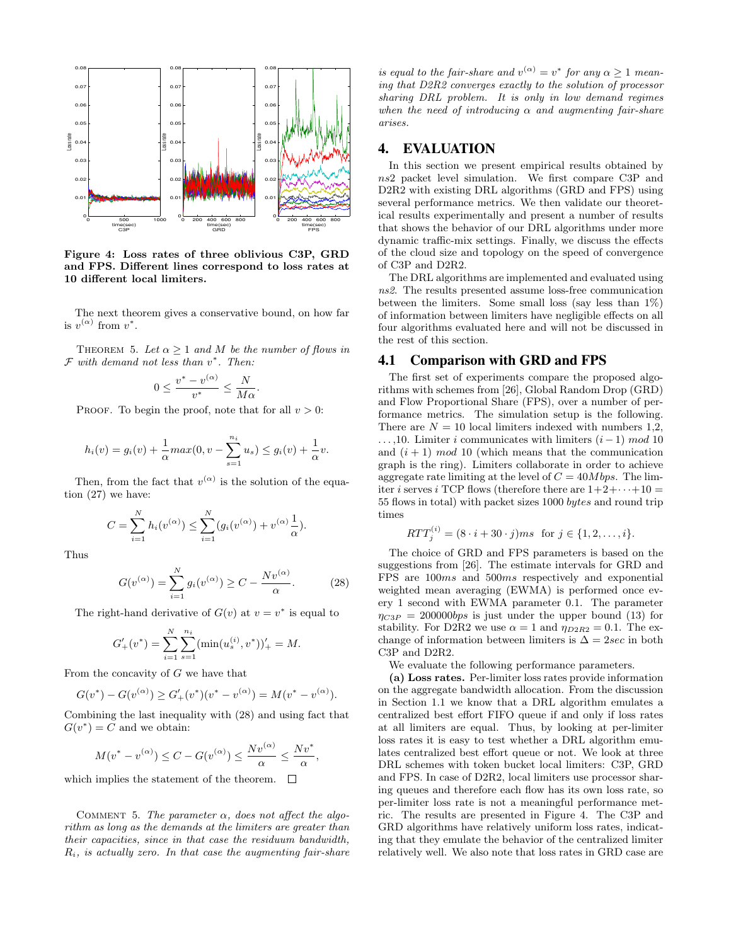

Figure 4: Loss rates of three oblivious C3P, GRD and FPS. Different lines correspond to loss rates at 10 different local limiters.

The next theorem gives a conservative bound, on how far is  $v^{(\alpha)}$  from  $v^*$ .

THEOREM 5. Let  $\alpha \geq 1$  and M be the number of flows in  $\mathcal{F}$  with demand not less than  $v^*$ . Then:

$$
0 \le \frac{v^* - v^{(\alpha)}}{v^*} \le \frac{N}{M\alpha}.
$$

PROOF. To begin the proof, note that for all  $v > 0$ :

$$
h_i(v) = g_i(v) + \frac{1}{\alpha} max(0, v - \sum_{s=1}^{n_i} u_s) \le g_i(v) + \frac{1}{\alpha} v.
$$

Then, from the fact that  $v^{(\alpha)}$  is the solution of the equation (27) we have:

$$
C = \sum_{i=1}^{N} h_i(v^{(\alpha)}) \le \sum_{i=1}^{N} (g_i(v^{(\alpha)}) + v^{(\alpha)} \frac{1}{\alpha}).
$$

Thus

$$
G(v^{(\alpha)}) = \sum_{i=1}^{N} g_i(v^{(\alpha)}) \ge C - \frac{Nv^{(\alpha)}}{\alpha}.
$$
 (28)

The right-hand derivative of  $G(v)$  at  $v = v^*$  is equal to

$$
G'_{+}(v^{*}) = \sum_{i=1}^{N} \sum_{s=1}^{n_i} (\min(u_s^{(i)}, v^{*}))'_{+} = M.
$$

From the concavity of  $G$  we have that

$$
G(v^*) - G(v^{(\alpha)}) \ge G'_+(v^*)(v^* - v^{(\alpha)}) = M(v^* - v^{(\alpha)}).
$$

Combining the last inequality with (28) and using fact that  $G(v^*) = C$  and we obtain:

$$
M(v^* - v^{(\alpha)}) \le C - G(v^{(\alpha)}) \le \frac{Nv^{(\alpha)}}{\alpha} \le \frac{Nv^*}{\alpha}
$$

,

which implies the statement of the theorem.  $\Box$ 

COMMENT 5. The parameter  $\alpha$ , does not affect the algorithm as long as the demands at the limiters are greater than their capacities, since in that case the residuum bandwidth,  $R_i$ , is actually zero. In that case the augmenting fair-share

is equal to the fair-share and  $v^{(\alpha)} = v^*$  for any  $\alpha \geq 1$  meaning that D2R2 converges exactly to the solution of processor sharing DRL problem. It is only in low demand regimes when the need of introducing  $\alpha$  and augmenting fair-share arises.

## **4. EVALUATION**

In this section we present empirical results obtained by ns2 packet level simulation. We first compare C3P and D2R2 with existing DRL algorithms (GRD and FPS) using several performance metrics. We then validate our theoretical results experimentally and present a number of results that shows the behavior of our DRL algorithms under more dynamic traffic-mix settings. Finally, we discuss the effects of the cloud size and topology on the speed of convergence of C3P and D2R2.

The DRL algorithms are implemented and evaluated using ns2. The results presented assume loss-free communication between the limiters. Some small loss (say less than  $1\%$ ) of information between limiters have negligible effects on all four algorithms evaluated here and will not be discussed in the rest of this section.

### **4.1 Comparison with GRD and FPS**

The first set of experiments compare the proposed algorithms with schemes from [26], Global Random Drop (GRD) and Flow Proportional Share (FPS), over a number of performance metrics. The simulation setup is the following. There are  $N = 10$  local limiters indexed with numbers 1,2,  $\dots$ ,10. Limiter *i* communicates with limiters  $(i-1) \mod 10$ and  $(i + 1) \mod 10$  (which means that the communication graph is the ring). Limiters collaborate in order to achieve aggregate rate limiting at the level of  $C = 40Mbps$ . The limiter *i* serves *i* TCP flows (therefore there are  $1+2+\cdots+10=$ 55 flows in total) with packet sizes 1000 bytes and round trip times

$$
RTT_j^{(i)} = (8 \cdot i + 30 \cdot j)ms \text{ for } j \in \{1, 2, \dots, i\}.
$$

The choice of GRD and FPS parameters is based on the suggestions from [26]. The estimate intervals for GRD and FPS are 100ms and 500ms respectively and exponential weighted mean averaging (EWMA) is performed once every 1 second with EWMA parameter 0.1. The parameter  $\eta_{C3P} = 200000bps$  is just under the upper bound (13) for stability. For D2R2 we use  $\alpha = 1$  and  $\eta_{D2R2} = 0.1$ . The exchange of information between limiters is  $\Delta = 2\sec$  in both C3P and D2R2.

We evaluate the following performance parameters.

(a) Loss rates. Per-limiter loss rates provide information on the aggregate bandwidth allocation. From the discussion in Section 1.1 we know that a DRL algorithm emulates a centralized best effort FIFO queue if and only if loss rates at all limiters are equal. Thus, by looking at per-limiter loss rates it is easy to test whether a DRL algorithm emulates centralized best effort queue or not. We look at three DRL schemes with token bucket local limiters: C3P, GRD and FPS. In case of D2R2, local limiters use processor sharing queues and therefore each flow has its own loss rate, so per-limiter loss rate is not a meaningful performance metric. The results are presented in Figure 4. The C3P and GRD algorithms have relatively uniform loss rates, indicating that they emulate the behavior of the centralized limiter relatively well. We also note that loss rates in GRD case are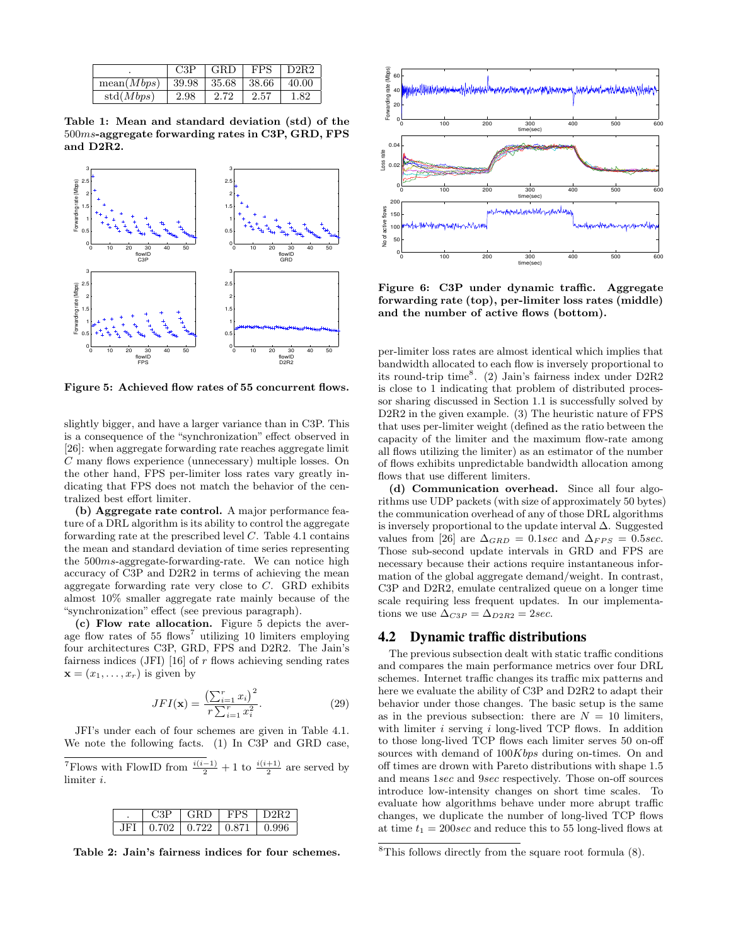|            | C3P                      | $\overline{\phantom{a}}$ GRD | <b>FPS</b> | $\overline{D2R2}$ |
|------------|--------------------------|------------------------------|------------|-------------------|
| mean(Mbps) | $139.98$   35.68   38.66 |                              |            | 40.00             |
| std(Mbps)  | 2.98                     | 2.72                         | 2.57       | 1.82              |

Table 1: Mean and standard deviation (std) of the 500ms-aggregate forwarding rates in C3P, GRD, FPS and D2R2.



Figure 5: Achieved flow rates of 55 concurrent flows.

slightly bigger, and have a larger variance than in C3P. This is a consequence of the "synchronization" effect observed in [26]: when aggregate forwarding rate reaches aggregate limit C many flows experience (unnecessary) multiple losses. On the other hand, FPS per-limiter loss rates vary greatly indicating that FPS does not match the behavior of the centralized best effort limiter.

(b) Aggregate rate control. A major performance feature of a DRL algorithm is its ability to control the aggregate forwarding rate at the prescribed level  $C$ . Table 4.1 contains the mean and standard deviation of time series representing the 500ms-aggregate-forwarding-rate. We can notice high accuracy of C3P and D2R2 in terms of achieving the mean aggregate forwarding rate very close to  $C$ . GRD exhibits almost 10% smaller aggregate rate mainly because of the "synchronization" effect (see previous paragraph).

(c) Flow rate allocation. Figure 5 depicts the average flow rates of  $55$  flows<sup>7</sup> utilizing 10 limiters employing four architectures C3P, GRD, FPS and D2R2. The Jain's fairness indices (JFI) [16] of  $r$  flows achieving sending rates  $\mathbf{x} = (x_1, \ldots, x_r)$  is given by

$$
JFI(\mathbf{x}) = \frac{\left(\sum_{i=1}^{r} x_i\right)^2}{r \sum_{i=1}^{r} x_i^2}.
$$
 (29)

JFI's under each of four schemes are given in Table 4.1. We note the following facts. (1) In C3P and GRD case,

<sup>7</sup>Flows with FlowID from  $\frac{i(i-1)}{2} + 1$  to  $\frac{i(i+1)}{2}$  are served by limiter i.

| '3D | GRD               | FPS. | D2R2  |
|-----|-------------------|------|-------|
|     | 0.702 0.722 0.871 |      | N 996 |

Table 2: Jain's fairness indices for four schemes.



Figure 6: C3P under dynamic traffic. Aggregate forwarding rate (top), per-limiter loss rates (middle) and the number of active flows (bottom).

per-limiter loss rates are almost identical which implies that bandwidth allocated to each flow is inversely proportional to its round-trip time<sup>8</sup> . (2) Jain's fairness index under D2R2 is close to 1 indicating that problem of distributed processor sharing discussed in Section 1.1 is successfully solved by D2R2 in the given example. (3) The heuristic nature of FPS that uses per-limiter weight (defined as the ratio between the capacity of the limiter and the maximum flow-rate among all flows utilizing the limiter) as an estimator of the number of flows exhibits unpredictable bandwidth allocation among flows that use different limiters.

(d) Communication overhead. Since all four algorithms use UDP packets (with size of approximately 50 bytes) the communication overhead of any of those DRL algorithms is inversely proportional to the update interval  $\Delta$ . Suggested values from [26] are  $\Delta_{GRD} = 0.1$  sec and  $\Delta_{FPS} = 0.5$  sec. Those sub-second update intervals in GRD and FPS are necessary because their actions require instantaneous information of the global aggregate demand/weight. In contrast, C3P and D2R2, emulate centralized queue on a longer time scale requiring less frequent updates. In our implementations we use  $\Delta_{C3P} = \Delta_{D2R2} = 2sec$ .

## **4.2 Dynamic traffic distributions**

The previous subsection dealt with static traffic conditions and compares the main performance metrics over four DRL schemes. Internet traffic changes its traffic mix patterns and here we evaluate the ability of C3P and D2R2 to adapt their behavior under those changes. The basic setup is the same as in the previous subsection: there are  $N = 10$  limiters, with limiter  $i$  serving  $i$  long-lived TCP flows. In addition to those long-lived TCP flows each limiter serves 50 on-off sources with demand of  $100Kbps$  during on-times. On and off times are drown with Pareto distributions with shape 1.5 and means 1sec and 9sec respectively. Those on-off sources introduce low-intensity changes on short time scales. To evaluate how algorithms behave under more abrupt traffic changes, we duplicate the number of long-lived TCP flows at time  $t_1 = 200 \text{sec}$  and reduce this to 55 long-lived flows at

<sup>8</sup>This follows directly from the square root formula (8).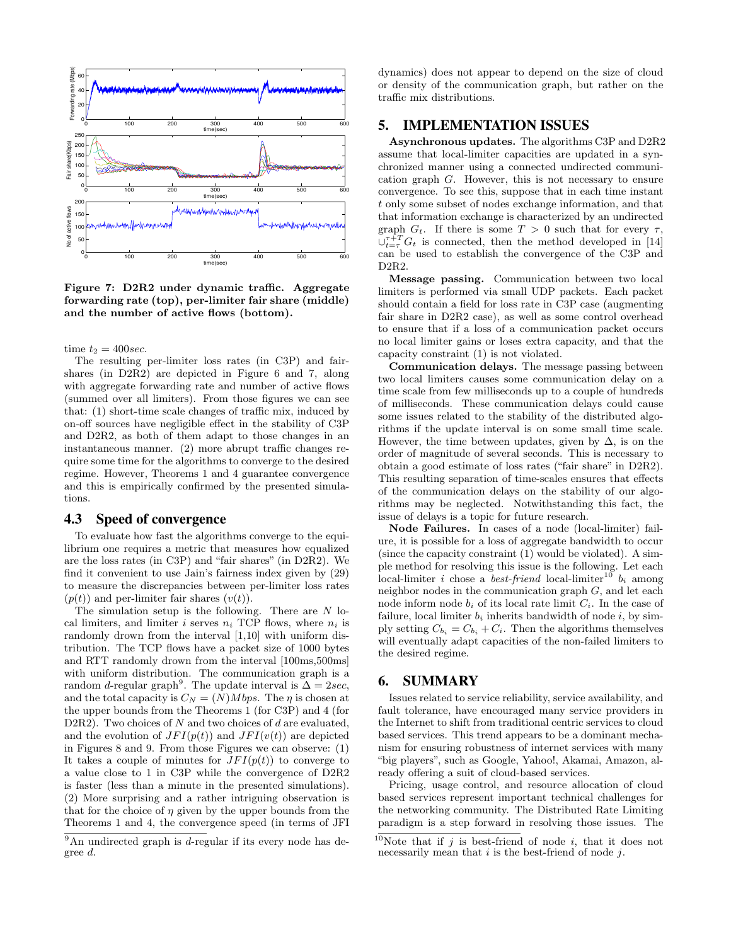

Figure 7: D2R2 under dynamic traffic. Aggregate forwarding rate (top), per-limiter fair share (middle) and the number of active flows (bottom).

time  $t_2 = 400 \text{sec}$ .

The resulting per-limiter loss rates (in C3P) and fairshares (in D2R2) are depicted in Figure 6 and 7, along with aggregate forwarding rate and number of active flows (summed over all limiters). From those figures we can see that: (1) short-time scale changes of traffic mix, induced by on-off sources have negligible effect in the stability of C3P and D2R2, as both of them adapt to those changes in an instantaneous manner. (2) more abrupt traffic changes require some time for the algorithms to converge to the desired regime. However, Theorems 1 and 4 guarantee convergence and this is empirically confirmed by the presented simulations.

## **4.3 Speed of convergence**

To evaluate how fast the algorithms converge to the equilibrium one requires a metric that measures how equalized are the loss rates (in C3P) and "fair shares" (in D2R2). We find it convenient to use Jain's fairness index given by (29) to measure the discrepancies between per-limiter loss rates  $(p(t))$  and per-limiter fair shares  $(v(t))$ .

The simulation setup is the following. There are  $N$  local limiters, and limiter i serves  $n_i$  TCP flows, where  $n_i$  is randomly drown from the interval [1,10] with uniform distribution. The TCP flows have a packet size of 1000 bytes and RTT randomly drown from the interval [100ms,500ms] with uniform distribution. The communication graph is a random *d*-regular graph<sup>9</sup>. The update interval is  $\Delta = 2sec$ , and the total capacity is  $C_N = (N)Mbps$ . The  $\eta$  is chosen at the upper bounds from the Theorems 1 (for C3P) and 4 (for D2R2). Two choices of  $N$  and two choices of  $d$  are evaluated, and the evolution of  $JFI(p(t))$  and  $JFI(v(t))$  are depicted in Figures 8 and 9. From those Figures we can observe: (1) It takes a couple of minutes for  $JFI(p(t))$  to converge to a value close to 1 in C3P while the convergence of D2R2 is faster (less than a minute in the presented simulations). (2) More surprising and a rather intriguing observation is that for the choice of  $\eta$  given by the upper bounds from the Theorems 1 and 4, the convergence speed (in terms of JFI

dynamics) does not appear to depend on the size of cloud or density of the communication graph, but rather on the traffic mix distributions.

## **5. IMPLEMENTATION ISSUES**

Asynchronous updates. The algorithms C3P and D2R2 assume that local-limiter capacities are updated in a synchronized manner using a connected undirected communication graph G. However, this is not necessary to ensure convergence. To see this, suppose that in each time instant t only some subset of nodes exchange information, and that that information exchange is characterized by an undirected graph  $G_t$ . If there is some  $T > 0$  such that for every  $\tau$ .  $\bigcup_{t=\tau}^{\tau+T} G_t$  is connected, then the method developed in [14] can be used to establish the convergence of the C3P and D2R2.

Message passing. Communication between two local limiters is performed via small UDP packets. Each packet should contain a field for loss rate in C3P case (augmenting fair share in D2R2 case), as well as some control overhead to ensure that if a loss of a communication packet occurs no local limiter gains or loses extra capacity, and that the capacity constraint (1) is not violated.

Communication delays. The message passing between two local limiters causes some communication delay on a time scale from few milliseconds up to a couple of hundreds of milliseconds. These communication delays could cause some issues related to the stability of the distributed algorithms if the update interval is on some small time scale. However, the time between updates, given by  $\Delta$ , is on the order of magnitude of several seconds. This is necessary to obtain a good estimate of loss rates ("fair share" in D2R2). This resulting separation of time-scales ensures that effects of the communication delays on the stability of our algorithms may be neglected. Notwithstanding this fact, the issue of delays is a topic for future research.

Node Failures. In cases of a node (local-limiter) failure, it is possible for a loss of aggregate bandwidth to occur (since the capacity constraint (1) would be violated). A simple method for resolving this issue is the following. Let each local-limiter *i* chose a *best-friend* local-limiter<sup>10</sup>  $b_i$  among neighbor nodes in the communication graph  $G$ , and let each node inform node  $b_i$  of its local rate limit  $C_i$ . In the case of failure, local limiter  $b_i$  inherits bandwidth of node  $i$ , by simply setting  $C_{b_i} = C_{b_i} + C_i$ . Then the algorithms themselves will eventually adapt capacities of the non-failed limiters to the desired regime.

## **6. SUMMARY**

Issues related to service reliability, service availability, and fault tolerance, have encouraged many service providers in the Internet to shift from traditional centric services to cloud based services. This trend appears to be a dominant mechanism for ensuring robustness of internet services with many "big players", such as Google, Yahoo!, Akamai, Amazon, already offering a suit of cloud-based services.

Pricing, usage control, and resource allocation of cloud based services represent important technical challenges for the networking community. The Distributed Rate Limiting paradigm is a step forward in resolving those issues. The

 $9$ An undirected graph is *d*-regular if its every node has degree d.

<sup>&</sup>lt;sup>10</sup>Note that if j is best-friend of node i, that it does not necessarily mean that  $i$  is the best-friend of node  $j$ .